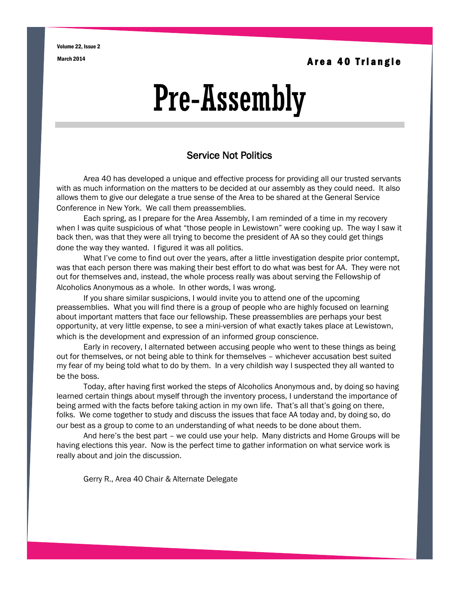Volume 22, Issue 2

March 2014 **A r e a 40 T riangle** 

# Pre-Assembly

### Service Not Politics

Area 40 has developed a unique and effective process for providing all our trusted servants with as much information on the matters to be decided at our assembly as they could need. It also allows them to give our delegate a true sense of the Area to be shared at the General Service Conference in New York. We call them preassemblies.

Each spring, as I prepare for the Area Assembly, I am reminded of a time in my recovery when I was quite suspicious of what "those people in Lewistown" were cooking up. The way I saw it back then, was that they were all trying to become the president of AA so they could get things done the way they wanted. I figured it was all politics.

What I've come to find out over the years, after a little investigation despite prior contempt, was that each person there was making their best effort to do what was best for AA. They were not out for themselves and, instead, the whole process really was about serving the Fellowship of Alcoholics Anonymous as a whole. In other words, I was wrong.

If you share similar suspicions, I would invite you to attend one of the upcoming preassemblies. What you will find there is a group of people who are highly focused on learning about important matters that face our fellowship. These preassemblies are perhaps your best opportunity, at very little expense, to see a mini-version of what exactly takes place at Lewistown, which is the development and expression of an informed group conscience.

Early in recovery, I alternated between accusing people who went to these things as being out for themselves, or not being able to think for themselves – whichever accusation best suited my fear of my being told what to do by them. In a very childish way I suspected they all wanted to be the boss.

Today, after having first worked the steps of Alcoholics Anonymous and, by doing so having learned certain things about myself through the inventory process, I understand the importance of being armed with the facts before taking action in my own life. That's all that's going on there, folks. We come together to study and discuss the issues that face AA today and, by doing so, do our best as a group to come to an understanding of what needs to be done about them.

And here's the best part – we could use your help. Many districts and Home Groups will be having elections this year. Now is the perfect time to gather information on what service work is really about and join the discussion.

Gerry R., Area 40 Chair & Alternate Delegate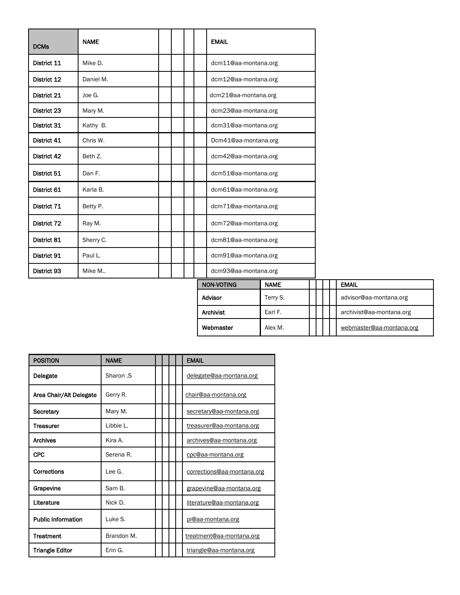| <b>DCMs</b> | <b>NAME</b> |  |  | <b>EMAIL</b>                        |
|-------------|-------------|--|--|-------------------------------------|
| District 11 | Mike D.     |  |  | dcm11@aa-montana.org                |
| District 12 | Daniel M.   |  |  | dcm12@aa-montana.org                |
| District 21 | Joe G.      |  |  | dcm21@aa-montana.org                |
| District 23 | Mary M.     |  |  | dcm23@aa-montana.org                |
| District 31 | Kathy B.    |  |  | dcm31@aa-montana.org                |
| District 41 | Chris W.    |  |  | Dcm41@aa-montana.org                |
| District 42 | Beth Z.     |  |  | dcm42@aa-montana.org                |
| District 51 | Dan F.      |  |  | dcm51@aa-montana.org                |
| District 61 | Karla B.    |  |  | dcm61@aa-montana.org                |
| District 71 | Betty P.    |  |  | dcm71@aa-montana.org                |
| District 72 | Ray M.      |  |  | dcm72@aa-montana.org                |
| District 81 | Sherry C.   |  |  | dcm81@aa-montana.org                |
| District 91 | Paul L.     |  |  | dcm91@aa-montana.org                |
| District 93 | Mike M      |  |  | dcm93@aa-montana.org<br><b>NAME</b> |

| NON-VOTING | <b>NAME</b> |  |  | <b>EMAIL</b>             |
|------------|-------------|--|--|--------------------------|
| Advisor    | Terry S.    |  |  | advisor@aa-montana.org   |
| Archivist  | Earl F.     |  |  | archivist@aa-montana.org |
| Webmaster  | Alex M.     |  |  | webmaster@aa-montana.org |

| <b>POSITION</b>           | <b>NAME</b> |  | <b>EMAIL</b>               |
|---------------------------|-------------|--|----------------------------|
| Delegate                  | Sharon .S   |  | delegate@aa-montana.org    |
| Area Chair/Alt Delegate   | Gerry R.    |  | chair@aa-montana.org       |
| Secretary                 | Mary M.     |  | secretary@aa-montana.org   |
| <b>Treasurer</b>          | Libbie L.   |  | treasurer@aa-montana.org   |
| <b>Archives</b>           | Kira A.     |  | archives@aa-montana.org    |
| <b>CPC</b>                | Serena R.   |  | cpc@aa-montana.org         |
| Corrections               | Lee G.      |  | corrections@aa-montana.org |
| Grapevine                 | Sam B.      |  | grapevine@aa-montana.org   |
| Literature                | Nick D.     |  | literature@aa-montana.org  |
| <b>Public Information</b> | Luke S.     |  | pi@aa-montana.org          |
| <b>Treatment</b>          | Brandon M.  |  | treatment@aa-montana.org   |
| <b>Triangle Editor</b>    | Erin G.     |  | triangle@aa-montana.org    |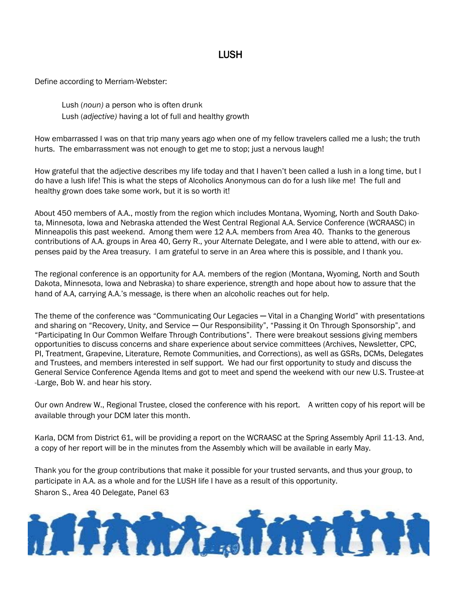## LUSH

Define according to Merriam-Webster:

Lush (*noun)* a person who is often drunk Lush (*adjective)* having a lot of full and healthy growth

How embarrassed I was on that trip many years ago when one of my fellow travelers called me a lush; the truth hurts. The embarrassment was not enough to get me to stop; just a nervous laugh!

How grateful that the adjective describes my life today and that I haven't been called a lush in a long time, but I do have a lush life! This is what the steps of Alcoholics Anonymous can do for a lush like me! The full and healthy grown does take some work, but it is so worth it!

About 450 members of A.A., mostly from the region which includes Montana, Wyoming, North and South Dakota, Minnesota, Iowa and Nebraska attended the West Central Regional A.A. Service Conference (WCRAASC) in Minneapolis this past weekend. Among them were 12 A.A. members from Area 40. Thanks to the generous contributions of A.A. groups in Area 40, Gerry R., your Alternate Delegate, and I were able to attend, with our expenses paid by the Area treasury. I am grateful to serve in an Area where this is possible, and I thank you.

The regional conference is an opportunity for A.A. members of the region (Montana, Wyoming, North and South Dakota, Minnesota, Iowa and Nebraska) to share experience, strength and hope about how to assure that the hand of A.A, carrying A.A.'s message, is there when an alcoholic reaches out for help.

The theme of the conference was "Communicating Our Legacies — Vital in a Changing World" with presentations and sharing on "Recovery, Unity, and Service — Our Responsibility", "Passing it On Through Sponsorship", and "Participating In Our Common Welfare Through Contributions". There were breakout sessions giving members opportunities to discuss concerns and share experience about service committees (Archives, Newsletter, CPC, PI, Treatment, Grapevine, Literature, Remote Communities, and Corrections), as well as GSRs, DCMs, Delegates and Trustees, and members interested in self support. We had our first opportunity to study and discuss the General Service Conference Agenda Items and got to meet and spend the weekend with our new U.S. Trustee-at -Large, Bob W. and hear his story.

Our own Andrew W., Regional Trustee, closed the conference with his report. A written copy of his report will be available through your DCM later this month.

Karla, DCM from District 61, will be providing a report on the WCRAASC at the Spring Assembly April 11-13. And, a copy of her report will be in the minutes from the Assembly which will be available in early May.

Thank you for the group contributions that make it possible for your trusted servants, and thus your group, to participate in A.A. as a whole and for the LUSH life I have as a result of this opportunity. Sharon S., Area 40 Delegate, Panel 63

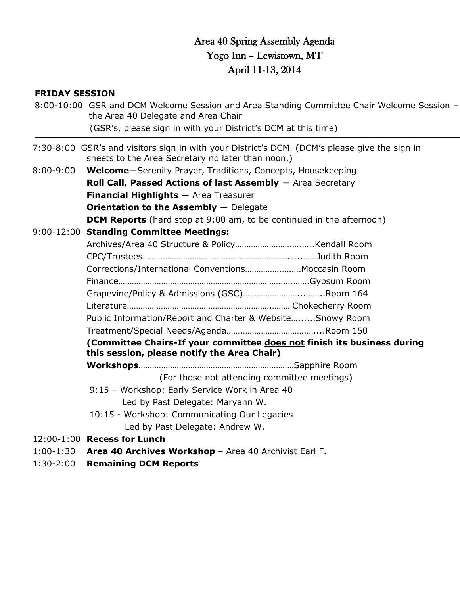## Area 40 Spring Assembly Agenda Yogo Inn – Lewistown, MT April 11-13, 2014

#### **FRIDAY SESSION**

|                         | 8:00-10:00 GSR and DCM Welcome Session and Area Standing Committee Chair Welcome Session -<br>the Area 40 Delegate and Area Chair<br>(GSR's, please sign in with your District's DCM at this time) |
|-------------------------|----------------------------------------------------------------------------------------------------------------------------------------------------------------------------------------------------|
|                         | 7:30-8:00 GSR's and visitors sign in with your District's DCM. (DCM's please give the sign in<br>sheets to the Area Secretary no later than noon.)                                                 |
| $8:00 - 9:00$           | Welcome-Serenity Prayer, Traditions, Concepts, Housekeeping                                                                                                                                        |
|                         | Roll Call, Passed Actions of last Assembly $-$ Area Secretary                                                                                                                                      |
|                         | <b>Financial Highlights</b> - Area Treasurer                                                                                                                                                       |
|                         | Orientation to the Assembly $-$ Delegate                                                                                                                                                           |
|                         | <b>DCM Reports</b> (hard stop at 9:00 am, to be continued in the afternoon)                                                                                                                        |
|                         | 9:00-12:00 Standing Committee Meetings:                                                                                                                                                            |
|                         |                                                                                                                                                                                                    |
|                         |                                                                                                                                                                                                    |
|                         | Corrections/International Conventions Moccasin Room                                                                                                                                                |
|                         |                                                                                                                                                                                                    |
|                         |                                                                                                                                                                                                    |
|                         |                                                                                                                                                                                                    |
|                         | Public Information/Report and Charter & WebsiteSnowy Room                                                                                                                                          |
|                         |                                                                                                                                                                                                    |
|                         | (Committee Chairs-If your committee does not finish its business during                                                                                                                            |
|                         | this session, please notify the Area Chair)                                                                                                                                                        |
|                         |                                                                                                                                                                                                    |
|                         | (For those not attending committee meetings)                                                                                                                                                       |
|                         | 9:15 - Workshop: Early Service Work in Area 40                                                                                                                                                     |
|                         | Led by Past Delegate: Maryann W.                                                                                                                                                                   |
|                         | 10:15 - Workshop: Communicating Our Legacies                                                                                                                                                       |
|                         | Led by Past Delegate: Andrew W.                                                                                                                                                                    |
|                         | 12:00-1:00 Recess for Lunch                                                                                                                                                                        |
| $1.20.2.00$ $R_{\odot}$ | 1:00-1:30 Area 40 Archives Workshop - Area 40 Archivist Earl F.                                                                                                                                    |
|                         |                                                                                                                                                                                                    |

1:30-2:00 **Remaining DCM Reports**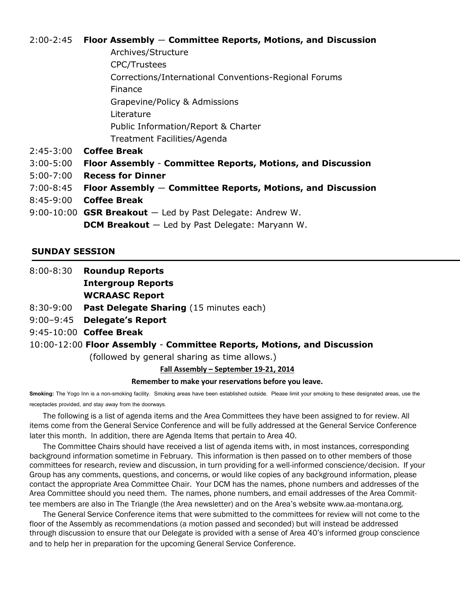#### 2:00-2:45 **Floor Assembly** ― **Committee Reports, Motions, and Discussion**

- Archives/Structure CPC/Trustees Corrections/International Conventions-Regional Forums Finance Grapevine/Policy & Admissions Literature Public Information/Report & Charter Treatment Facilities/Agenda
- 2:45-3:00 **Coffee Break**
- 3:00-5:00 **Floor Assembly Committee Reports, Motions, and Discussion**
- 5:00-7:00 **Recess for Dinner**
- 7:00-8:45 **Floor Assembly** ― **Committee Reports, Motions, and Discussion**
- 8:45-9:00 **Coffee Break**
- 9:00-10:00 **GSR Breakout** ― Led by Past Delegate: Andrew W. **DCM Breakout** ― Led by Past Delegate: Maryann W.

#### **SUNDAY SESSION**

8:00-8:30 **Roundup Reports**

**Intergroup Reports**

**WCRAASC Report**

- 8:30-9:00 **Past Delegate Sharing** (15 minutes each)
- 9:00–9:45 **Delegate's Report**
- 9:45-10:00 **Coffee Break**

#### 10:00-12:00 **Floor Assembly** - **Committee Reports, Motions, and Discussion**

(followed by general sharing as time allows.)

**Fall Assembly – September 19-21, 2014**

#### **Remember to make your reservations before you leave.**

**Smoking:** The Yogo Inn is a non-smoking facility. Smoking areas have been established outside. Please limit your smoking to these designated areas, use the receptacles provided, and stay away from the doorways.

The following is a list of agenda items and the Area Committees they have been assigned to for review. All items come from the General Service Conference and will be fully addressed at the General Service Conference later this month. In addition, there are Agenda Items that pertain to Area 40.

The Committee Chairs should have received a list of agenda items with, in most instances, corresponding background information sometime in February. This information is then passed on to other members of those committees for research, review and discussion, in turn providing for a well-informed conscience/decision. If your Group has any comments, questions, and concerns, or would like copies of any background information, please contact the appropriate Area Committee Chair. Your DCM has the names, phone numbers and addresses of the Area Committee should you need them. The names, phone numbers, and email addresses of the Area Committee members are also in The Triangle (the Area newsletter) and on the Area's website www.aa-montana.org.

The General Service Conference items that were submitted to the committees for review will not come to the floor of the Assembly as recommendations (a motion passed and seconded) but will instead be addressed through discussion to ensure that our Delegate is provided with a sense of Area 40's informed group conscience and to help her in preparation for the upcoming General Service Conference.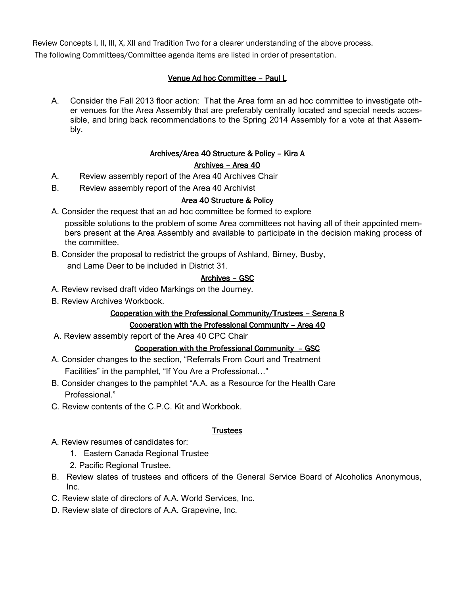Review Concepts I, II, III, X, XII and Tradition Two for a clearer understanding of the above process. The following Committees/Committee agenda items are listed in order of presentation.

#### Venue Ad hoc Committee – Paul L

A. Consider the Fall 2013 floor action: That the Area form an ad hoc committee to investigate other venues for the Area Assembly that are preferably centrally located and special needs accessible, and bring back recommendations to the Spring 2014 Assembly for a vote at that Assembly.

#### Archives/Area 40 Structure & Policy – Kira A

#### Archives – Area 40

- A. Review assembly report of the Area 40 Archives Chair
- B. Review assembly report of the Area 40 Archivist

#### Area 40 Structure & Policy

A. Consider the request that an ad hoc committee be formed to explore

possible solutions to the problem of some Area committees not having all of their appointed members present at the Area Assembly and available to participate in the decision making process of the committee.

B. Consider the proposal to redistrict the groups of Ashland, Birney, Busby, and Lame Deer to be included in District 31.

#### Archives – GSC

- A. Review revised draft video Markings on the Journey.
- B. Review Archives Workbook.

## Cooperation with the Professional Community/Trustees – Serena R

#### Cooperation with the Professional Community – Area 40

A. Review assembly report of the Area 40 CPC Chair

#### Cooperation with the Professional Community – GSC

- A. Consider changes to the section, "Referrals From Court and Treatment Facilities" in the pamphlet, "If You Are a Professional…"
- B. Consider changes to the pamphlet "A.A. as a Resource for the Health Care Professional."
- C. Review contents of the C.P.C. Kit and Workbook.

#### **Trustees**

- A. Review resumes of candidates for:
	- 1. Eastern Canada Regional Trustee
	- 2. Pacific Regional Trustee.
- B. Review slates of trustees and officers of the General Service Board of Alcoholics Anonymous,  $Inc$
- C. Review slate of directors of A.A. World Services, Inc.
- D. Review slate of directors of A.A. Grapevine, Inc.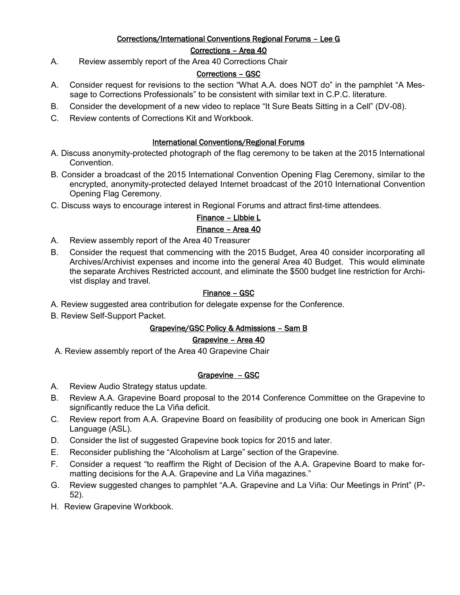### Corrections/International Conventions Regional Forums – Lee G

#### Corrections – Area 40

A. Review assembly report of the Area 40 Corrections Chair

#### Corrections – GSC

- A. Consider request for revisions to the section "What A.A. does NOT do" in the pamphlet "A Message to Corrections Professionals" to be consistent with similar text in C.P.C. literature.
- B. Consider the development of a new video to replace "It Sure Beats Sitting in a Cell" (DV-08).
- C. Review contents of Corrections Kit and Workbook.

#### International Conventions/Regional Forums

- A. Discuss anonymity-protected photograph of the flag ceremony to be taken at the 2015 International Convention.
- B. Consider a broadcast of the 2015 International Convention Opening Flag Ceremony, similar to the encrypted, anonymity-protected delayed Internet broadcast of the 2010 International Convention Opening Flag Ceremony.
- C. Discuss ways to encourage interest in Regional Forums and attract first-time attendees.

### Finance – Libbie L

#### Finance – Area 40

- A. Review assembly report of the Area 40 Treasurer
- B. Consider the request that commencing with the 2015 Budget, Area 40 consider incorporating all Archives/Archivist expenses and income into the general Area 40 Budget. This would eliminate the separate Archives Restricted account, and eliminate the \$500 budget line restriction for Archivist display and travel.

#### Finance – GSC

- A. Review suggested area contribution for delegate expense for the Conference.
- B. Review Self-Support Packet.

#### Grapevine/GSC Policy & Admissions – Sam B

#### Grapevine – Area 40

A. Review assembly report of the Area 40 Grapevine Chair

#### Grapevine – GSC

- A. Review Audio Strategy status update.
- B. Review A.A. Grapevine Board proposal to the 2014 Conference Committee on the Grapevine to significantly reduce the La Viña deficit.
- C. Review report from A.A. Grapevine Board on feasibility of producing one book in American Sign Language (ASL).
- D. Consider the list of suggested Grapevine book topics for 2015 and later.
- E. Reconsider publishing the "Alcoholism at Large" section of the Grapevine.
- F. Consider a request "to reaffirm the Right of Decision of the A.A. Grapevine Board to make formatting decisions for the A.A. Grapevine and La Viña magazines."
- G. Review suggested changes to pamphlet "A.A. Grapevine and La Viña: Our Meetings in Print" (P-52).
- H. Review Grapevine Workbook.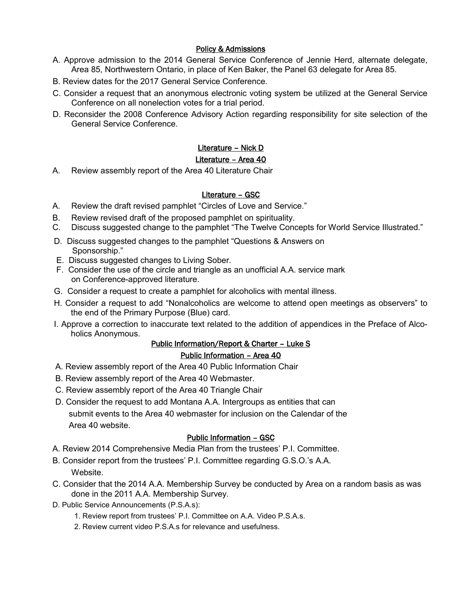#### Policy & Admissions

- A. Approve admission to the 2014 General Service Conference of Jennie Herd, alternate delegate, Area 85, Northwestern Ontario, in place of Ken Baker, the Panel 63 delegate for Area 85.
- B. Review dates for the 2017 General Service Conference.
- C. Consider a request that an anonymous electronic voting system be utilized at the General Service Conference on all nonelection votes for a trial period.
- D. Reconsider the 2008 Conference Advisory Action regarding responsibility for site selection of the General Service Conference.

#### Literature – Nick D

#### Literature - Area 40

A. Review assembly report of the Area 40 Literature Chair

#### Literature – GSC

- A. Review the draft revised pamphlet "Circles of Love and Service."
- B. Review revised draft of the proposed pamphlet on spirituality.
- C. Discuss suggested change to the pamphlet "The Twelve Concepts for World Service Illustrated."
- D. Discuss suggested changes to the pamphlet "Questions & Answers on Sponsorship."
- E. Discuss suggested changes to Living Sober.
- F. Consider the use of the circle and triangle as an unofficial A.A. service mark on Conference-approved literature.
- G. Consider a request to create a pamphlet for alcoholics with mental illness.
- H. Consider a request to add "Nonalcoholics are welcome to attend open meetings as observers" to the end of the Primary Purpose (Blue) card.
- I. Approve a correction to inaccurate text related to the addition of appendices in the Preface of Alcoholics Anonymous.

#### Public Information/Report & Charter – Luke S

#### Public Information – Area 40

- A. Review assembly report of the Area 40 Public Information Chair
- B. Review assembly report of the Area 40 Webmaster.
- C. Review assembly report of the Area 40 Triangle Chair
- D. Consider the request to add Montana A.A. Intergroups as entities that can submit events to the Area 40 webmaster for inclusion on the Calendar of the Area 40 website.

#### Public Information – GSC

- A. Review 2014 Comprehensive Media Plan from the trustees' P.I. Committee.
- B. Consider report from the trustees' P.I. Committee regarding G.S.O.'s A.A. Website.
- C. Consider that the 2014 A.A. Membership Survey be conducted by Area on a random basis as was done in the 2011 A.A. Membership Survey.
- D. Public Service Announcements (P.S.A.s):
	- 1. Review report from trustees' P.I. Committee on A.A. Video P.S.A.s.
	- 2. Review current video P.S.A.s for relevance and usefulness.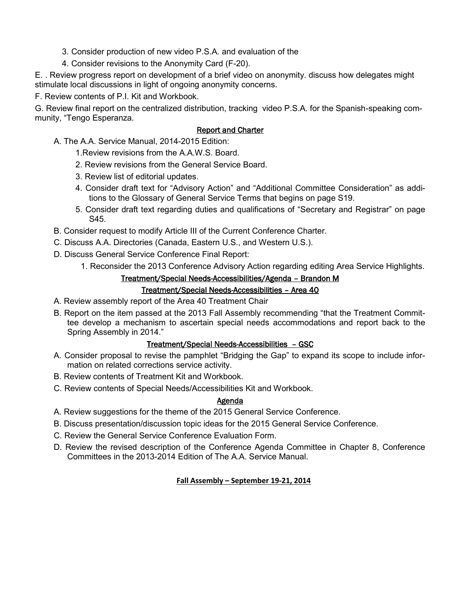- 3. Consider production of new video P.S.A. and evaluation of the
- 4. Consider revisions to the Anonymity Card (F-20).

E. . Review progress report on development of a brief video on anonymity. discuss how delegates might stimulate local discussions in light of ongoing anonymity concerns.

F. Review contents of P.I. Kit and Workbook.

G. Review final report on the centralized distribution, tracking video P.S.A. for the Spanish-speaking community, "Tengo Esperanza.

#### Report and Charter

- A. The A.A. Service Manual, 2014-2015 Edition:
	- 1.Review revisions from the A.A.W.S. Board.
	- 2. Review revisions from the General Service Board.
	- 3. Review list of editorial updates.
	- 4. Consider draft text for "Advisory Action" and "Additional Committee Consideration" as additions to the Glossary of General Service Terms that begins on page S19.
	- 5. Consider draft text regarding duties and qualifications of "Secretary and Registrar" on page S45.
- B. Consider request to modify Article III of the Current Conference Charter.
- C. Discuss A.A. Directories (Canada, Eastern U.S., and Western U.S.).
- D. Discuss General Service Conference Final Report:
	- 1. Reconsider the 2013 Conference Advisory Action regarding editing Area Service Highlights.

#### Treatment/Special Needs-Accessibilities/Agenda – Brandon M

#### Treatment/Special Needs-Accessibilities – Area 40

- A. Review assembly report of the Area 40 Treatment Chair
- B. Report on the item passed at the 2013 Fall Assembly recommending "that the Treatment Committee develop a mechanism to ascertain special needs accommodations and report back to the Spring Assembly in 2014."

#### Treatment/Special Needs-Accessibilities – GSC

- A. Consider proposal to revise the pamphlet "Bridging the Gap" to expand its scope to include information on related corrections service activity.
- B. Review contents of Treatment Kit and Workbook.
- C. Review contents of Special Needs/Accessibilities Kit and Workbook.

#### Agenda

- A. Review suggestions for the theme of the 2015 General Service Conference.
- B. Discuss presentation/discussion topic ideas for the 2015 General Service Conference.
- C. Review the General Service Conference Evaluation Form.
- D. Review the revised description of the Conference Agenda Committee in Chapter 8, Conference Committees in the 2013-2014 Edition of The A.A. Service Manual.

#### **Fall Assembly – September 19-21, 2014**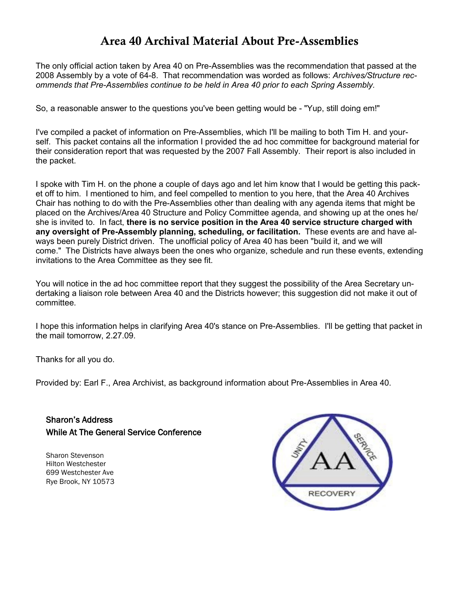## **Area 40 Archival Material About Pre-Assemblies**

The only official action taken by Area 40 on Pre-Assemblies was the recommendation that passed at the 2008 Assembly by a vote of 64-8. That recommendation was worded as follows: *Archives/Structure recommends that Pre-Assemblies continue to be held in Area 40 prior to each Spring Assembly.*

So, a reasonable answer to the questions you've been getting would be - "Yup, still doing em!"

I've compiled a packet of information on Pre-Assemblies, which I'll be mailing to both Tim H. and yourself. This packet contains all the information I provided the ad hoc committee for background material for their consideration report that was requested by the 2007 Fall Assembly. Their report is also included in the packet.

I spoke with Tim H. on the phone a couple of days ago and let him know that I would be getting this packet off to him. I mentioned to him, and feel compelled to mention to you here, that the Area 40 Archives Chair has nothing to do with the Pre-Assemblies other than dealing with any agenda items that might be placed on the Archives/Area 40 Structure and Policy Committee agenda, and showing up at the ones he/ she is invited to. In fact, **there is no service position in the Area 40 service structure charged with any oversight of Pre-Assembly planning, scheduling, or facilitation.** These events are and have always been purely District driven. The unofficial policy of Area 40 has been "build it, and we will come." The Districts have always been the ones who organize, schedule and run these events, extending invitations to the Area Committee as they see fit.

You will notice in the ad hoc committee report that they suggest the possibility of the Area Secretary undertaking a liaison role between Area 40 and the Districts however; this suggestion did not make it out of committee.

I hope this information helps in clarifying Area 40's stance on Pre-Assemblies. I'll be getting that packet in the mail tomorrow, 2.27.09.

Thanks for all you do.

Provided by: Earl F., Area Archivist, as background information about Pre-Assemblies in Area 40.

Sharon's Address While At The General Service Conference

Sharon Stevenson Hilton Westchester 699 Westchester Ave Rye Brook, NY 10573

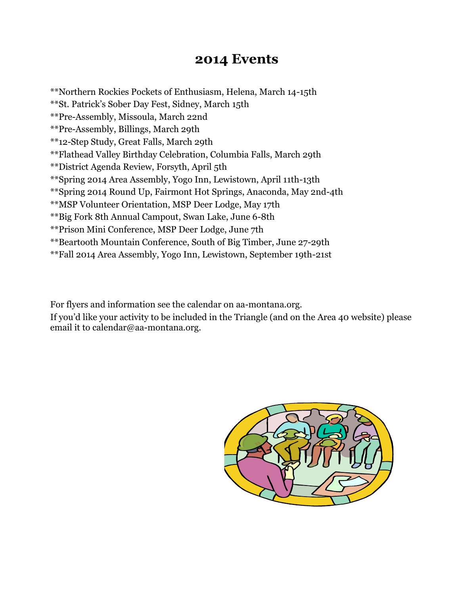# **2014 Events**

\*\*Northern Rockies Pockets of Enthusiasm, Helena, March 14-15th \*\*St. Patrick's Sober Day Fest, Sidney, March 15th \*\*Pre-Assembly, Missoula, March 22nd \*\*Pre-Assembly, Billings, March 29th \*\*12-Step Study, Great Falls, March 29th \*\*Flathead Valley Birthday Celebration, Columbia Falls, March 29th \*\*District Agenda Review, Forsyth, April 5th \*\*Spring 2014 Area Assembly, Yogo Inn, Lewistown, April 11th-13th \*\*Spring 2014 Round Up, Fairmont Hot Springs, Anaconda, May 2nd-4th \*\*MSP Volunteer Orientation, MSP Deer Lodge, May 17th \*\*Big Fork 8th Annual Campout, Swan Lake, June 6-8th \*\*Prison Mini Conference, MSP Deer Lodge, June 7th \*\*Beartooth Mountain Conference, South of Big Timber, June 27-29th \*\*Fall 2014 Area Assembly, Yogo Inn, Lewistown, September 19th-21st

For flyers and information see the calendar on aa-montana.org. If you'd like your activity to be included in the Triangle (and on the Area 40 website) please email it to calendar@aa-montana.org.